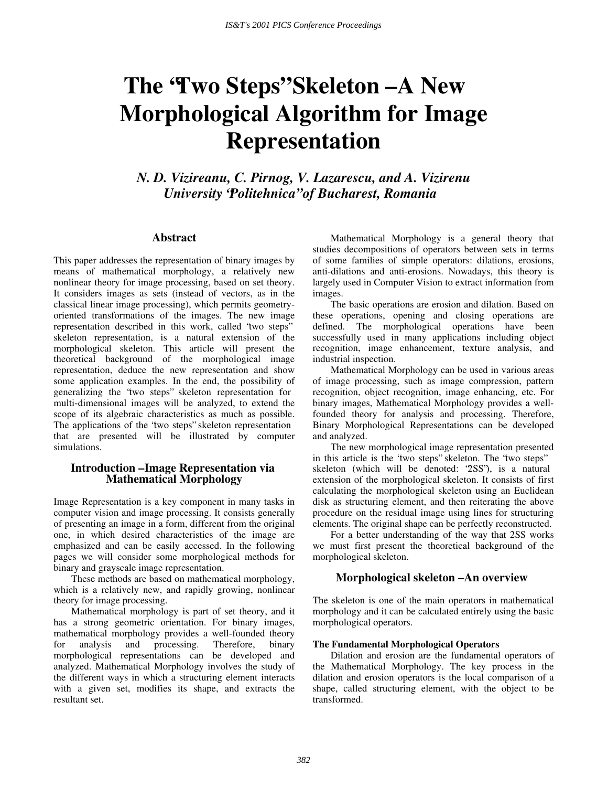# The **Two Steps**" Skeleton – A New **Morphological Algorithm for Image Representation**

*N. D. Vizireanu, C. Pirnog, V. Lazarescu, and A. Vizirenu University "Politehnica" of Bucharest, Romania* 

#### **Abstract**

This paper addresses the representation of binary images by means of mathematical morphology, a relatively new nonlinear theory for image processing, based on set theory. It considers images as sets (instead of vectors, as in the classical linear image processing), which permits geometryoriented transformations of the images. The new image representation described in this work, called "two steps" skeleton representation, is a natural extension of the morphological skeleton. This article will present the theoretical background of the morphological image representation, deduce the new representation and show some application examples. In the end, the possibility of generalizing the "two steps" skeleton representation for multi-dimensional images will be analyzed, to extend the scope of its algebraic characteristics as much as possible. The applications of the "two steps" skeleton representation that are presented will be illustrated by computer simulations.

## **Introduction – Image Representation via Mathematical Morphology**

Image Representation is a key component in many tasks in computer vision and image processing. It consists generally of presenting an image in a form, different from the original one, in which desired characteristics of the image are emphasized and can be easily accessed. In the following pages we will consider some morphological methods for binary and grayscale image representation.

These methods are based on mathematical morphology, which is a relatively new, and rapidly growing, nonlinear theory for image processing.

Mathematical morphology is part of set theory, and it has a strong geometric orientation. For binary images, mathematical morphology provides a well-founded theory for analysis and processing. Therefore, binary morphological representations can be developed and analyzed. Mathematical Morphology involves the study of the different ways in which a structuring element interacts with a given set, modifies its shape, and extracts the resultant set.

Mathematical Morphology is a general theory that studies decompositions of operators between sets in terms of some families of simple operators: dilations, erosions, anti-dilations and anti-erosions. Nowadays, this theory is largely used in Computer Vision to extract information from images.

The basic operations are erosion and dilation. Based on these operations, opening and closing operations are defined. The morphological operations have been successfully used in many applications including object recognition, image enhancement, texture analysis, and industrial inspection.

Mathematical Morphology can be used in various areas of image processing, such as image compression, pattern recognition, object recognition, image enhancing, etc. For binary images, Mathematical Morphology provides a wellfounded theory for analysis and processing. Therefore, Binary Morphological Representations can be developed and analyzed.

The new morphological image representation presented in this article is the "two steps" skeleton. The "two steps" skeleton (which will be denoted: "2SS"), is a natural extension of the morphological skeleton. It consists of first calculating the morphological skeleton using an Euclidean disk as structuring element, and then reiterating the above procedure on the residual image using lines for structuring elements. The original shape can be perfectly reconstructed.

For a better understanding of the way that 2SS works we must first present the theoretical background of the morphological skeleton.

### **Morphological skeleton – An overview**

The skeleton is one of the main operators in mathematical morphology and it can be calculated entirely using the basic morphological operators.

#### **The Fundamental Morphological Operators**

Dilation and erosion are the fundamental operators of the Mathematical Morphology. The key process in the dilation and erosion operators is the local comparison of a shape, called structuring element, with the object to be transformed.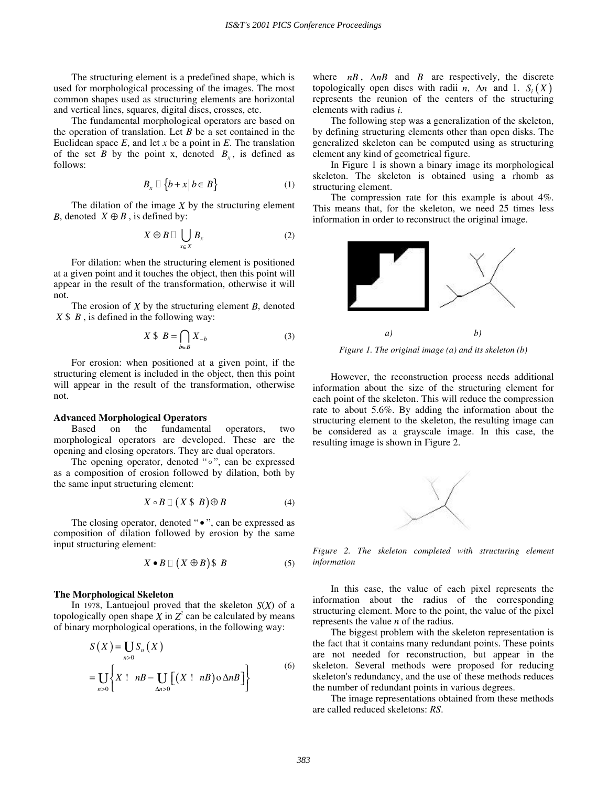The structuring element is a predefined shape, which is used for morphological processing of the images. The most common shapes used as structuring elements are horizontal and vertical lines, squares, digital discs, crosses, etc.

The fundamental morphological operators are based on the operation of translation. Let *B* be a set contained in the Euclidean space *E*, and let *x* be a point in *E*. The translation of the set *B* by the point x, denoted  $B<sub>x</sub>$ , is defined as follows:

$$
B_x \sqcup \{b + x \mid b \in B\} \tag{1}
$$

The dilation of the image *X* by the structuring element *B*, denoted  $X \oplus B$ , is defined by:

$$
X \oplus B \Box \bigcup_{x \in X} B_x \tag{2}
$$

For dilation: when the structuring element is positioned at a given point and it touches the object, then this point will appear in the result of the transformation, otherwise it will not.

The erosion of *X* by the structuring element *B*, denoted  $X \$   $B$ , is defined in the following way:

$$
X \, \mathcal{S} \, B = \bigcap_{b \in B} X_{-b} \tag{3}
$$

For erosion: when positioned at a given point, if the structuring element is included in the object, then this point will appear in the result of the transformation, otherwise not.

#### **Advanced Morphological Operators**

Based on the fundamental operators, two morphological operators are developed. These are the opening and closing operators. They are dual operators.

The opening operator, denoted " $\circ$ ", can be expressed as a composition of erosion followed by dilation, both by the same input structuring element:

$$
X \circ B \sqcup (X \ \$ B) \oplus B \tag{4}
$$

The closing operator, denoted " $\bullet$ ", can be expressed as composition of dilation followed by erosion by the same input structuring element:

$$
X \bullet B \sqcup (X \oplus B) \$ \ B \tag{5}
$$

#### **The Morphological Skeleton**

In 1978, Lantuejoul proved that the skeleton *S*(*X*) of a topologically open shape  $X$  in  $Z^2$  can be calculated by means of binary morphological operations, in the following way:

$$
S(X) = \bigcup_{n>0} S_n(X)
$$
  
= 
$$
\bigcup_{n>0} \left\{ X : nB - \bigcup_{\Delta n>0} \left[ (X : nB) \circ \Delta nB \right] \right\}
$$
 (6)

where  $nB$ ,  $\Delta nB$  and *B* are respectively, the discrete topologically open discs with radii *n*,  $\Delta n$  and 1. *S<sub>i</sub>*(*X*) represents the reunion of the centers of the structuring elements with radius *i*.

The following step was a generalization of the skeleton, by defining structuring elements other than open disks. The generalized skeleton can be computed using as structuring element any kind of geometrical figure.

In Figure 1 is shown a binary image its morphological skeleton. The skeleton is obtained using a rhomb as structuring element.

The compression rate for this example is about 4%. This means that, for the skeleton, we need 25 times less information in order to reconstruct the original image.



*Figure 1. The original image (a) and its skeleton (b)* 

However, the reconstruction process needs additional information about the size of the structuring element for each point of the skeleton. This will reduce the compression rate to about 5.6%. By adding the information about the structuring element to the skeleton, the resulting image can be considered as a grayscale image. In this case, the resulting image is shown in Figure 2.



*Figure 2. The skeleton completed with structuring element information* 

In this case, the value of each pixel represents the information about the radius of the corresponding structuring element. More to the point, the value of the pixel represents the value *n* of the radius.

The biggest problem with the skeleton representation is the fact that it contains many redundant points. These points are not needed for reconstruction, but appear in the skeleton. Several methods were proposed for reducing skeleton's redundancy, and the use of these methods reduces the number of redundant points in various degrees.

The image representations obtained from these methods are called reduced skeletons: *RS*.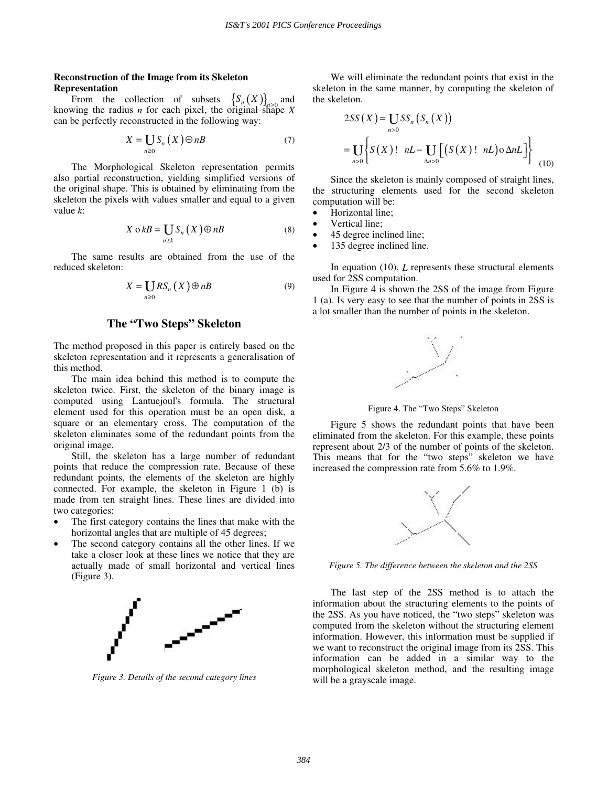#### **Reconstruction of the Image from its Skeleton Representation**

From the collection of subsets  $\left\{S_n(X)\right\}_{n>0}$  and knowing the radius *n* for each pixel, the original shape  $X$ can be perfectly reconstructed in the following way:

$$
X = \underset{n \ge 0}{\coprod} S_n(X) \oplus nB \tag{7}
$$

The Morphological Skeleton representation permits also partial reconstruction, yielding simplified versions of the original shape. This is obtained by eliminating from the skeleton the pixels with values smaller and equal to a given value *k*:

$$
X \circ kB = \bigcup_{n \ge k} S_n(X) \oplus nB \tag{8}
$$

The same results are obtained from the use of the reduced skeleton:

$$
X = \underset{n \geq 0}{\coprod} RS_n(X) \oplus nB \tag{9}
$$

# **The "Two Steps" Skeleton**

The method proposed in this paper is entirely based on the skeleton representation and it represents a generalisation of this method.

The main idea behind this method is to compute the skeleton twice. First, the skeleton of the binary image is computed using Lantuejoul's formula. The structural element used for this operation must be an open disk, a square or an elementary cross. The computation of the skeleton eliminates some of the redundant points from the original image.

Still, the skeleton has a large number of redundant points that reduce the compression rate. Because of these redundant points, the elements of the skeleton are highly connected. For example, the skeleton in Figure 1 (b) is made from ten straight lines. These lines are divided into two categories:

- The first category contains the lines that make with the horizontal angles that are multiple of 45 degrees;
- The second category contains all the other lines. If we take a closer look at these lines we notice that they are actually made of small horizontal and vertical lines (Figure 3).



*Figure 3. Details of the second category lines* 

We will eliminate the redundant points that exist in the skeleton in the same manner, by computing the skeleton of the skeleton.

$$
2SS(X) = \underset{n>0}{\text{USS}} \{S_n(S_n(X))\}
$$

$$
= \underset{n>0}{\text{US}} \left\{S(X) : nL - \underset{\Delta n>0}{\text{US}} \left[ \left( S(X) : nL \right) \circ \Delta nL \right] \right\}
$$
(10)

Since the skeleton is mainly composed of straight lines, the structuring elements used for the second skeleton computation will be:

- Horizontal line;
- Vertical line;
- 45 degree inclined line;
- 135 degree inclined line.

In equation (10), *L* represents these structural elements used for 2SS computation.

In Figure 4 is shown the 2SS of the image from Figure 1 (a). Is very easy to see that the number of points in 2SS is a lot smaller than the number of points in the skeleton.



Figure 4. The "Two Steps" Skeleton

Figure 5 shows the redundant points that have been eliminated from the skeleton. For this example, these points represent about 2/3 of the number of points of the skeleton. This means that for the "two steps" skeleton we have increased the compression rate from 5.6% to 1.9%.



*Figure 5. The difference between the skeleton and the 2SS* 

The last step of the 2SS method is to attach the information about the structuring elements to the points of the 2SS. As you have noticed, the "two steps" skeleton was computed from the skeleton without the structuring element information. However, this information must be supplied if we want to reconstruct the original image from its 2SS. This information can be added in a similar way to the morphological skeleton method, and the resulting image will be a grayscale image.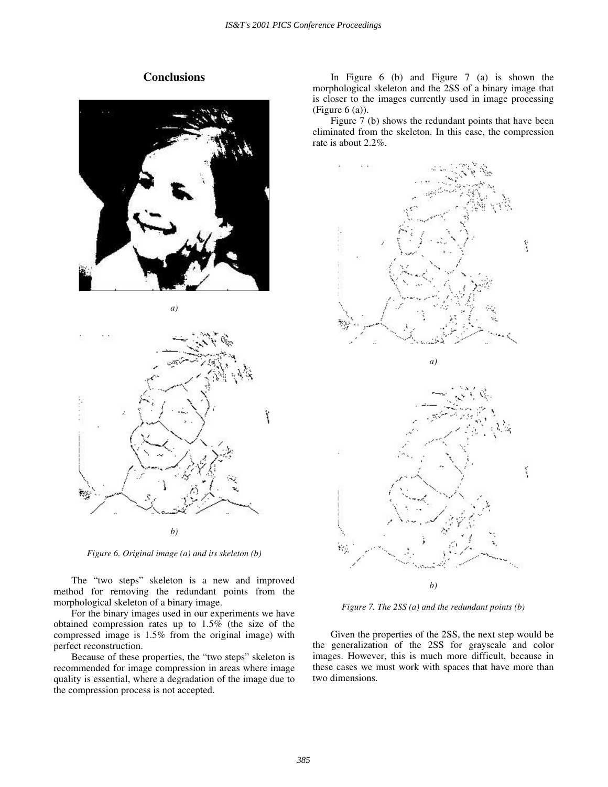# **Conclusions**



*a)* 



*Figure 6. Original image (a) and its skeleton (b)* 

The "two steps" skeleton is a new and improved method for removing the redundant points from the morphological skeleton of a binary image.

For the binary images used in our experiments we have obtained compression rates up to 1.5% (the size of the compressed image is 1.5% from the original image) with perfect reconstruction.

Because of these properties, the "two steps" skeleton is recommended for image compression in areas where image quality is essential, where a degradation of the image due to the compression process is not accepted.

In Figure 6 (b) and Figure 7 (a) is shown the morphological skeleton and the 2SS of a binary image that is closer to the images currently used in image processing (Figure 6 (a)).

Figure 7 (b) shows the redundant points that have been eliminated from the skeleton. In this case, the compression rate is about 2.2%.



*Figure 7. The 2SS (a) and the redundant points (b)* 

Given the properties of the 2SS, the next step would be the generalization of the 2SS for grayscale and color images. However, this is much more difficult, because in these cases we must work with spaces that have more than two dimensions.